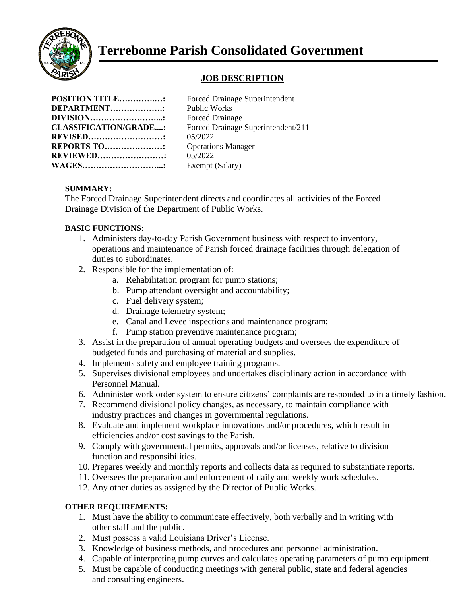

# **Terrebonne Parish Consolidated Government**

## **JOB DESCRIPTION**

| <b>POSITION TITLE:</b><br><b>Forced Drainage Superintendent</b> |
|-----------------------------------------------------------------|
| DEPARTMENT<br><b>Public Works</b>                               |
| <b>Forced Drainage</b>                                          |
| Forced Drainage Superintendent/211                              |
| 05/2022                                                         |
| <b>REPORTS TO:</b><br><b>Operations Manager</b>                 |
| 05/2022<br><b>REVIEWED:</b>                                     |
| Exempt (Salary)                                                 |
|                                                                 |

#### **SUMMARY:**

The Forced Drainage Superintendent directs and coordinates all activities of the Forced Drainage Division of the Department of Public Works.

#### **BASIC FUNCTIONS:**

- 1. Administers day-to-day Parish Government business with respect to inventory, operations and maintenance of Parish forced drainage facilities through delegation of duties to subordinates.
- 2. Responsible for the implementation of:
	- a. Rehabilitation program for pump stations;
	- b. Pump attendant oversight and accountability;
	- c. Fuel delivery system;
	- d. Drainage telemetry system;
	- e. Canal and Levee inspections and maintenance program;
	- f. Pump station preventive maintenance program;
- 3. Assist in the preparation of annual operating budgets and oversees the expenditure of budgeted funds and purchasing of material and supplies.
- 4. Implements safety and employee training programs.
- 5. Supervises divisional employees and undertakes disciplinary action in accordance with Personnel Manual.
- 6. Administer work order system to ensure citizens' complaints are responded to in a timely fashion.
- 7. Recommend divisional policy changes, as necessary, to maintain compliance with industry practices and changes in governmental regulations.
- 8. Evaluate and implement workplace innovations and/or procedures, which result in efficiencies and/or cost savings to the Parish.
- 9. Comply with governmental permits, approvals and/or licenses, relative to division function and responsibilities.
- 10. Prepares weekly and monthly reports and collects data as required to substantiate reports.
- 11. Oversees the preparation and enforcement of daily and weekly work schedules.
- 12. Any other duties as assigned by the Director of Public Works.

### **OTHER REQUIREMENTS:**

- 1. Must have the ability to communicate effectively, both verbally and in writing with other staff and the public.
- 2. Must possess a valid Louisiana Driver's License.
- 3. Knowledge of business methods, and procedures and personnel administration.
- 4. Capable of interpreting pump curves and calculates operating parameters of pump equipment.
- 5. Must be capable of conducting meetings with general public, state and federal agencies and consulting engineers.